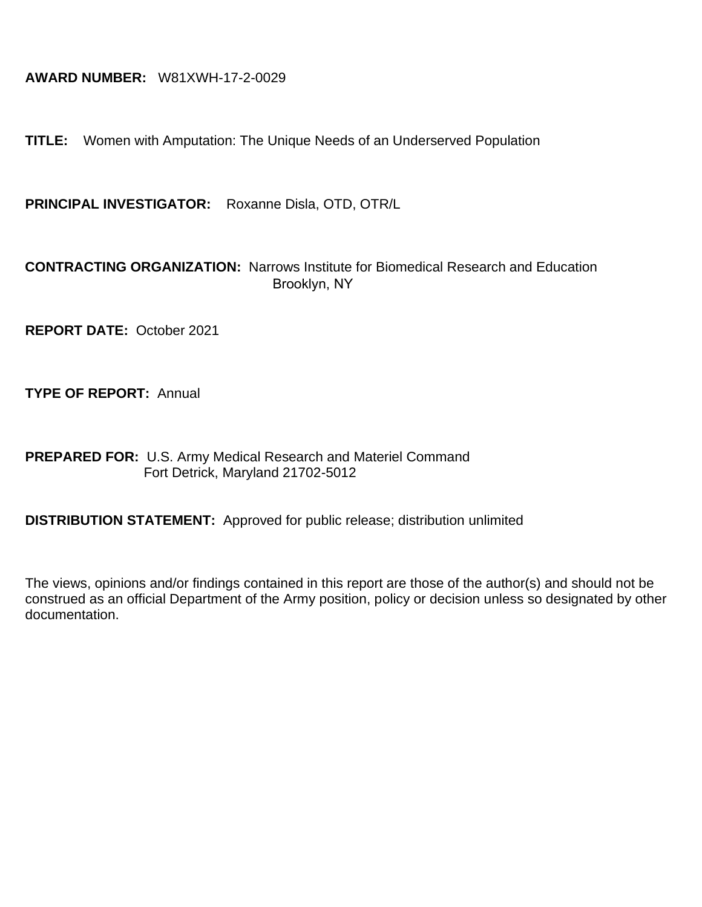# **AWARD NUMBER:** W81XWH-17-2-0029

**TITLE:** Women with Amputation: The Unique Needs of an Underserved Population

**PRINCIPAL INVESTIGATOR:** Roxanne Disla, OTD, OTR/L

## **CONTRACTING ORGANIZATION:** Narrows Institute for Biomedical Research and Education Brooklyn, NY

**REPORT DATE:** October 2021

**TYPE OF REPORT:** Annual

**PREPARED FOR:** U.S. Army Medical Research and Materiel Command Fort Detrick, Maryland 21702-5012

**DISTRIBUTION STATEMENT:** Approved for public release; distribution unlimited

The views, opinions and/or findings contained in this report are those of the author(s) and should not be construed as an official Department of the Army position, policy or decision unless so designated by other documentation.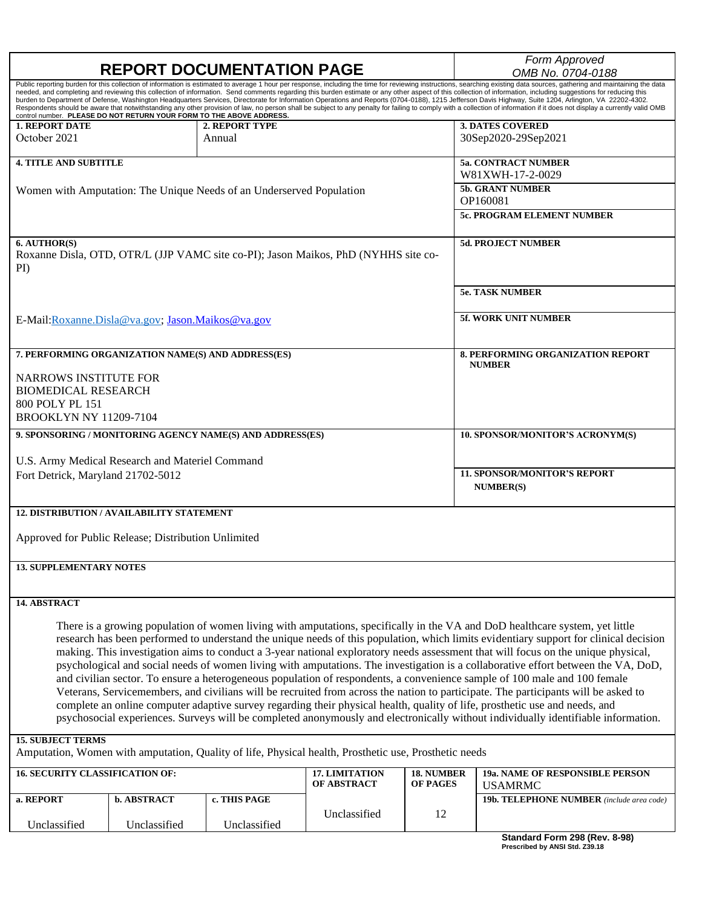| <b>REPORT DOCUMENTATION PAGE</b>                                                                                                                                                                                                                                                                                                                                                                                                                                                                                                                                                                                                                                                                                                                                                                                                                                                                                                                                                                                                                                                       |                    |                                                                                                       |                               |                                      | Form Approved<br>OMB No. 0704-0188                        |  |  |
|----------------------------------------------------------------------------------------------------------------------------------------------------------------------------------------------------------------------------------------------------------------------------------------------------------------------------------------------------------------------------------------------------------------------------------------------------------------------------------------------------------------------------------------------------------------------------------------------------------------------------------------------------------------------------------------------------------------------------------------------------------------------------------------------------------------------------------------------------------------------------------------------------------------------------------------------------------------------------------------------------------------------------------------------------------------------------------------|--------------------|-------------------------------------------------------------------------------------------------------|-------------------------------|--------------------------------------|-----------------------------------------------------------|--|--|
| Public reporting burden for this collection of information is estimated to average 1 hour per response, including the time for reviewing instructions, searching existing data sources, gathering and maintaining the data<br>needed, and completing and reviewing this collection of information. Send comments regarding this burden estimate or any other aspect of this collection of information, including suggestions for reducing this<br>burden to Department of Defense, Washington Headquarters Services, Directorate for Information Operations and Reports (0704-0188), 1215 Jefferson Davis Highway, Suite 1204, Arlington, VA 22202-4302.<br>Respondents should be aware that notwithstanding any other provision of law, no person shall be subject to any penalty for failing to comply with a collection of information if it does not display a currently valid OMB<br>control number. PLEASE DO NOT RETURN YOUR FORM TO THE ABOVE ADDRESS.                                                                                                                         |                    |                                                                                                       |                               |                                      |                                                           |  |  |
| <b>1. REPORT DATE</b><br>October 2021                                                                                                                                                                                                                                                                                                                                                                                                                                                                                                                                                                                                                                                                                                                                                                                                                                                                                                                                                                                                                                                  |                    | <b>2. REPORT TYPE</b><br>Annual                                                                       |                               |                                      | <b>3. DATES COVERED</b><br>30Sep2020-29Sep2021            |  |  |
|                                                                                                                                                                                                                                                                                                                                                                                                                                                                                                                                                                                                                                                                                                                                                                                                                                                                                                                                                                                                                                                                                        |                    |                                                                                                       |                               |                                      |                                                           |  |  |
| <b>4. TITLE AND SUBTITLE</b>                                                                                                                                                                                                                                                                                                                                                                                                                                                                                                                                                                                                                                                                                                                                                                                                                                                                                                                                                                                                                                                           |                    |                                                                                                       |                               |                                      | <b>5a. CONTRACT NUMBER</b><br>W81XWH-17-2-0029            |  |  |
|                                                                                                                                                                                                                                                                                                                                                                                                                                                                                                                                                                                                                                                                                                                                                                                                                                                                                                                                                                                                                                                                                        |                    | Women with Amputation: The Unique Needs of an Underserved Population                                  |                               |                                      | <b>5b. GRANT NUMBER</b>                                   |  |  |
|                                                                                                                                                                                                                                                                                                                                                                                                                                                                                                                                                                                                                                                                                                                                                                                                                                                                                                                                                                                                                                                                                        |                    |                                                                                                       |                               |                                      | OP160081                                                  |  |  |
|                                                                                                                                                                                                                                                                                                                                                                                                                                                                                                                                                                                                                                                                                                                                                                                                                                                                                                                                                                                                                                                                                        |                    |                                                                                                       |                               |                                      | 5c. PROGRAM ELEMENT NUMBER                                |  |  |
| 6. AUTHOR(S)<br>$PI$ )                                                                                                                                                                                                                                                                                                                                                                                                                                                                                                                                                                                                                                                                                                                                                                                                                                                                                                                                                                                                                                                                 |                    | Roxanne Disla, OTD, OTR/L (JJP VAMC site co-PI); Jason Maikos, PhD (NYHHS site co-                    |                               |                                      | <b>5d. PROJECT NUMBER</b>                                 |  |  |
|                                                                                                                                                                                                                                                                                                                                                                                                                                                                                                                                                                                                                                                                                                                                                                                                                                                                                                                                                                                                                                                                                        |                    |                                                                                                       |                               |                                      | <b>5e. TASK NUMBER</b>                                    |  |  |
| E-Mail: Roxanne. Disla@va.gov; Jason. Maikos@va.gov                                                                                                                                                                                                                                                                                                                                                                                                                                                                                                                                                                                                                                                                                                                                                                                                                                                                                                                                                                                                                                    |                    |                                                                                                       |                               |                                      | <b>5f. WORK UNIT NUMBER</b>                               |  |  |
|                                                                                                                                                                                                                                                                                                                                                                                                                                                                                                                                                                                                                                                                                                                                                                                                                                                                                                                                                                                                                                                                                        |                    |                                                                                                       |                               |                                      |                                                           |  |  |
| 7. PERFORMING ORGANIZATION NAME(S) AND ADDRESS(ES)                                                                                                                                                                                                                                                                                                                                                                                                                                                                                                                                                                                                                                                                                                                                                                                                                                                                                                                                                                                                                                     |                    |                                                                                                       |                               |                                      | <b>8. PERFORMING ORGANIZATION REPORT</b><br><b>NUMBER</b> |  |  |
| <b>NARROWS INSTITUTE FOR</b>                                                                                                                                                                                                                                                                                                                                                                                                                                                                                                                                                                                                                                                                                                                                                                                                                                                                                                                                                                                                                                                           |                    |                                                                                                       |                               |                                      |                                                           |  |  |
| <b>BIOMEDICAL RESEARCH</b><br>800 POLY PL 151                                                                                                                                                                                                                                                                                                                                                                                                                                                                                                                                                                                                                                                                                                                                                                                                                                                                                                                                                                                                                                          |                    |                                                                                                       |                               |                                      |                                                           |  |  |
| <b>BROOKLYN NY 11209-7104</b>                                                                                                                                                                                                                                                                                                                                                                                                                                                                                                                                                                                                                                                                                                                                                                                                                                                                                                                                                                                                                                                          |                    |                                                                                                       |                               |                                      |                                                           |  |  |
| 9. SPONSORING / MONITORING AGENCY NAME(S) AND ADDRESS(ES)                                                                                                                                                                                                                                                                                                                                                                                                                                                                                                                                                                                                                                                                                                                                                                                                                                                                                                                                                                                                                              |                    |                                                                                                       |                               |                                      | 10. SPONSOR/MONITOR'S ACRONYM(S)                          |  |  |
| U.S. Army Medical Research and Materiel Command                                                                                                                                                                                                                                                                                                                                                                                                                                                                                                                                                                                                                                                                                                                                                                                                                                                                                                                                                                                                                                        |                    |                                                                                                       |                               |                                      |                                                           |  |  |
| Fort Detrick, Maryland 21702-5012                                                                                                                                                                                                                                                                                                                                                                                                                                                                                                                                                                                                                                                                                                                                                                                                                                                                                                                                                                                                                                                      |                    |                                                                                                       |                               |                                      | <b>11. SPONSOR/MONITOR'S REPORT</b>                       |  |  |
|                                                                                                                                                                                                                                                                                                                                                                                                                                                                                                                                                                                                                                                                                                                                                                                                                                                                                                                                                                                                                                                                                        |                    |                                                                                                       |                               |                                      | <b>NUMBER(S)</b>                                          |  |  |
| <b>12. DISTRIBUTION/ AVAILABILITY STATEMENT</b>                                                                                                                                                                                                                                                                                                                                                                                                                                                                                                                                                                                                                                                                                                                                                                                                                                                                                                                                                                                                                                        |                    |                                                                                                       |                               |                                      |                                                           |  |  |
| Approved for Public Release; Distribution Unlimited                                                                                                                                                                                                                                                                                                                                                                                                                                                                                                                                                                                                                                                                                                                                                                                                                                                                                                                                                                                                                                    |                    |                                                                                                       |                               |                                      |                                                           |  |  |
| <b>13. SUPPLEMENTARY NOTES</b>                                                                                                                                                                                                                                                                                                                                                                                                                                                                                                                                                                                                                                                                                                                                                                                                                                                                                                                                                                                                                                                         |                    |                                                                                                       |                               |                                      |                                                           |  |  |
|                                                                                                                                                                                                                                                                                                                                                                                                                                                                                                                                                                                                                                                                                                                                                                                                                                                                                                                                                                                                                                                                                        |                    |                                                                                                       |                               |                                      |                                                           |  |  |
| 14. ABSTRACT                                                                                                                                                                                                                                                                                                                                                                                                                                                                                                                                                                                                                                                                                                                                                                                                                                                                                                                                                                                                                                                                           |                    |                                                                                                       |                               |                                      |                                                           |  |  |
| There is a growing population of women living with amputations, specifically in the VA and DoD healthcare system, yet little<br>research has been performed to understand the unique needs of this population, which limits evidentiary support for clinical decision<br>making. This investigation aims to conduct a 3-year national exploratory needs assessment that will focus on the unique physical,<br>psychological and social needs of women living with amputations. The investigation is a collaborative effort between the VA, DoD,<br>and civilian sector. To ensure a heterogeneous population of respondents, a convenience sample of 100 male and 100 female<br>Veterans, Servicemembers, and civilians will be recruited from across the nation to participate. The participants will be asked to<br>complete an online computer adaptive survey regarding their physical health, quality of life, prosthetic use and needs, and<br>psychosocial experiences. Surveys will be completed anonymously and electronically without individually identifiable information. |                    |                                                                                                       |                               |                                      |                                                           |  |  |
| <b>15. SUBJECT TERMS</b>                                                                                                                                                                                                                                                                                                                                                                                                                                                                                                                                                                                                                                                                                                                                                                                                                                                                                                                                                                                                                                                               |                    | Amputation, Women with amputation, Quality of life, Physical health, Prosthetic use, Prosthetic needs |                               |                                      |                                                           |  |  |
| <b>16. SECURITY CLASSIFICATION OF:</b>                                                                                                                                                                                                                                                                                                                                                                                                                                                                                                                                                                                                                                                                                                                                                                                                                                                                                                                                                                                                                                                 |                    |                                                                                                       | 17. LIMITATION<br>OF ABSTRACT | <b>18. NUMBER</b><br><b>OF PAGES</b> | 19a. NAME OF RESPONSIBLE PERSON<br><b>USAMRMC</b>         |  |  |
| a. REPORT                                                                                                                                                                                                                                                                                                                                                                                                                                                                                                                                                                                                                                                                                                                                                                                                                                                                                                                                                                                                                                                                              | <b>b. ABSTRACT</b> | c. THIS PAGE                                                                                          |                               |                                      | 19b. TELEPHONE NUMBER (include area code)                 |  |  |

Unclassified

Unclassified

Unclassified

**Standard Form 298 (Rev. 8-98) Prescribed by ANSI Std. Z39.18**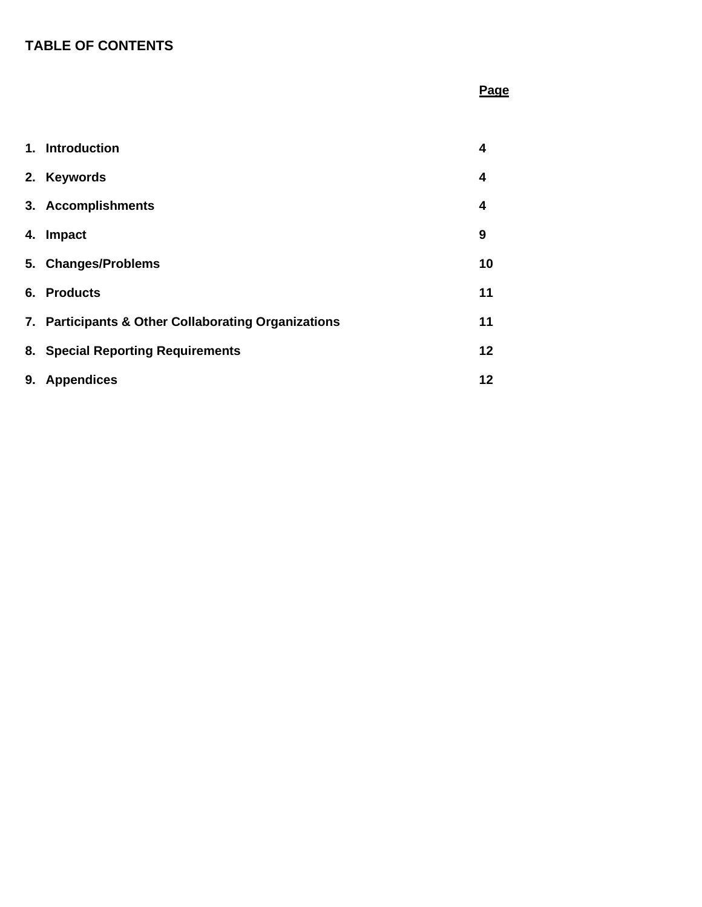# **TABLE OF CONTENTS**

# **Page**

|    | 1. Introduction                                     | 4  |
|----|-----------------------------------------------------|----|
|    | 2. Keywords                                         | 4  |
|    | 3. Accomplishments                                  | 4  |
| 4. | Impact                                              | 9  |
|    | 5. Changes/Problems                                 | 10 |
|    | 6. Products                                         | 11 |
|    | 7. Participants & Other Collaborating Organizations | 11 |
|    | 8. Special Reporting Requirements                   | 12 |
| 9. | <b>Appendices</b>                                   | 12 |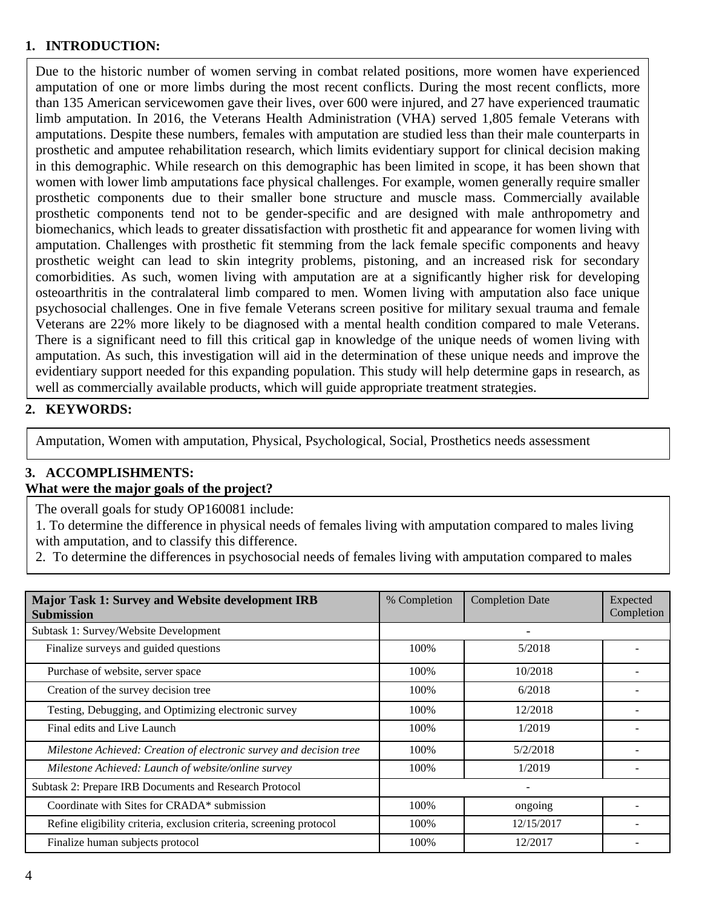### **1. INTRODUCTION:**

Due to the historic number of women serving in combat related positions, more women have experienced amputation of one or more limbs during the most recent conflicts. During the most recent conflicts, more than 135 American servicewomen gave their lives, over 600 were injured, and 27 have experienced traumatic limb amputation. In 2016, the Veterans Health Administration (VHA) served 1,805 female Veterans with amputations. Despite these numbers, females with amputation are studied less than their male counterparts in prosthetic and amputee rehabilitation research, which limits evidentiary support for clinical decision making in this demographic. While research on this demographic has been limited in scope, it has been shown that women with lower limb amputations face physical challenges. For example, women generally require smaller prosthetic components due to their smaller bone structure and muscle mass. Commercially available prosthetic components tend not to be gender-specific and are designed with male anthropometry and biomechanics, which leads to greater dissatisfaction with prosthetic fit and appearance for women living with amputation. Challenges with prosthetic fit stemming from the lack female specific components and heavy prosthetic weight can lead to skin integrity problems, pistoning, and an increased risk for secondary comorbidities. As such, women living with amputation are at a significantly higher risk for developing osteoarthritis in the contralateral limb compared to men. Women living with amputation also face unique psychosocial challenges. One in five female Veterans screen positive for military sexual trauma and female Veterans are 22% more likely to be diagnosed with a mental health condition compared to male Veterans. There is a significant need to fill this critical gap in knowledge of the unique needs of women living with amputation. As such, this investigation will aid in the determination of these unique needs and improve the evidentiary support needed for this expanding population. This study will help determine gaps in research, as well as commercially available products, which will guide appropriate treatment strategies.

### **2. KEYWORDS:**

Amputation, Women with amputation, Physical, Psychological, Social, Prosthetics needs assessment

### **3. ACCOMPLISHMENTS:**

#### **What were the major goals of the project?**

The overall goals for study OP160081 include:

1. To determine the difference in physical needs of females living with amputation compared to males living with amputation, and to classify this difference.

2. To determine the differences in psychosocial needs of females living with amputation compared to males

| Major Task 1: Survey and Website development IRB<br><b>Submission</b> | % Completion | <b>Completion Date</b> | Expected<br>Completion |
|-----------------------------------------------------------------------|--------------|------------------------|------------------------|
| Subtask 1: Survey/Website Development                                 |              |                        |                        |
| Finalize surveys and guided questions                                 | 100%         | 5/2018                 |                        |
| Purchase of website, server space                                     | 100%         | 10/2018                |                        |
| Creation of the survey decision tree                                  | 100%         | 6/2018                 |                        |
| Testing, Debugging, and Optimizing electronic survey                  | 100%         | 12/2018                |                        |
| Final edits and Live Launch                                           | 100%         | 1/2019                 |                        |
| Milestone Achieved: Creation of electronic survey and decision tree   | 100%         | 5/2/2018               |                        |
| Milestone Achieved: Launch of website/online survey                   | 100%         | 1/2019                 |                        |
| Subtask 2: Prepare IRB Documents and Research Protocol                |              |                        |                        |
| Coordinate with Sites for CRADA* submission                           | 100%         | ongoing                |                        |
| Refine eligibility criteria, exclusion criteria, screening protocol   | 100%         | 12/15/2017             |                        |
| Finalize human subjects protocol                                      | 100%         | 12/2017                |                        |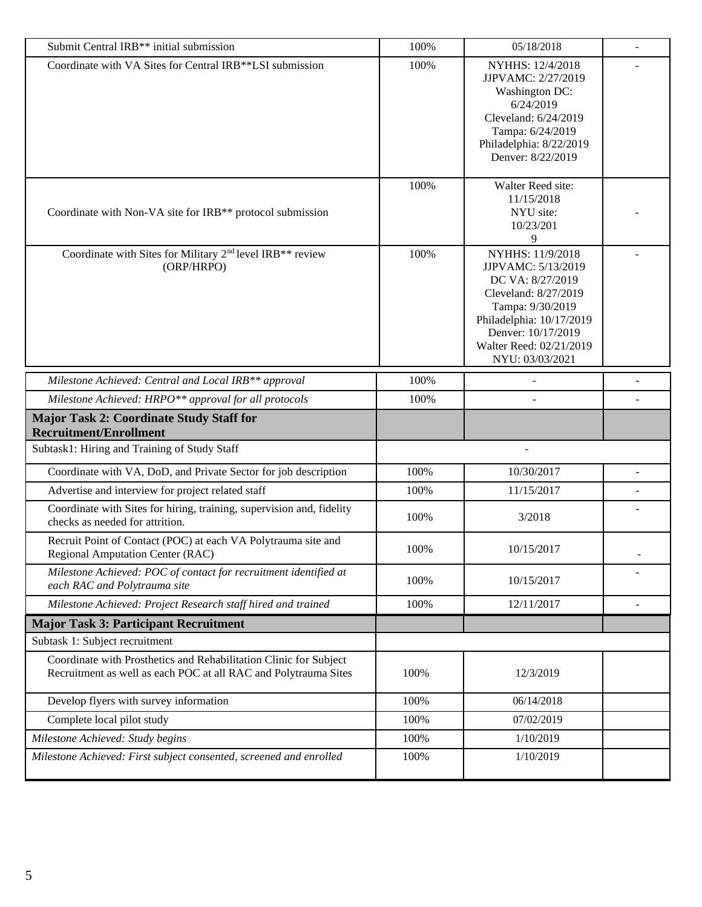| Submit Central IRB** initial submission                                                                                              | 100% | 05/18/2018                                                                                                                                                                                             | $\overline{\phantom{a}}$ |
|--------------------------------------------------------------------------------------------------------------------------------------|------|--------------------------------------------------------------------------------------------------------------------------------------------------------------------------------------------------------|--------------------------|
| Coordinate with VA Sites for Central IRB**LSI submission                                                                             | 100% | NYHHS: 12/4/2018<br>JJPVAMC: 2/27/2019<br>Washington DC:<br>6/24/2019<br>Cleveland: 6/24/2019<br>Tampa: 6/24/2019<br>Philadelphia: 8/22/2019<br>Denver: 8/22/2019                                      |                          |
| Coordinate with Non-VA site for IRB <sup>**</sup> protocol submission                                                                | 100% | Walter Reed site:<br>11/15/2018<br>NYU site:<br>10/23/201<br>9                                                                                                                                         |                          |
| Coordinate with Sites for Military 2 <sup>nd</sup> level IRB <sup>**</sup> review<br>(ORP/HRPO)                                      | 100% | NYHHS: 11/9/2018<br>JJPVAMC: 5/13/2019<br>DC VA: 8/27/2019<br>Cleveland: 8/27/2019<br>Tampa: 9/30/2019<br>Philadelphia: 10/17/2019<br>Denver: 10/17/2019<br>Walter Reed: 02/21/2019<br>NYU: 03/03/2021 |                          |
| Milestone Achieved: Central and Local IRB <sup>**</sup> approval                                                                     | 100% |                                                                                                                                                                                                        |                          |
| Milestone Achieved: HRPO** approval for all protocols                                                                                | 100% |                                                                                                                                                                                                        |                          |
| <b>Major Task 2: Coordinate Study Staff for</b><br><b>Recruitment/Enrollment</b>                                                     |      |                                                                                                                                                                                                        |                          |
| Subtask1: Hiring and Training of Study Staff                                                                                         |      |                                                                                                                                                                                                        |                          |
| Coordinate with VA, DoD, and Private Sector for job description                                                                      | 100% | 10/30/2017                                                                                                                                                                                             |                          |
| Advertise and interview for project related staff                                                                                    | 100% | 11/15/2017                                                                                                                                                                                             |                          |
| Coordinate with Sites for hiring, training, supervision and, fidelity<br>checks as needed for attrition.                             | 100% | 3/2018                                                                                                                                                                                                 |                          |
| Recruit Point of Contact (POC) at each VA Polytrauma site and<br><b>Regional Amputation Center (RAC)</b>                             | 100% | 10/15/2017                                                                                                                                                                                             |                          |
| Milestone Achieved: POC of contact for recruitment identified at<br>each RAC and Polytrauma site                                     | 100% | 10/15/2017                                                                                                                                                                                             |                          |
| Milestone Achieved: Project Research staff hired and trained                                                                         | 100% | 12/11/2017                                                                                                                                                                                             | $\blacksquare$           |
| <b>Major Task 3: Participant Recruitment</b>                                                                                         |      |                                                                                                                                                                                                        |                          |
| Subtask 1: Subject recruitment                                                                                                       |      |                                                                                                                                                                                                        |                          |
| Coordinate with Prosthetics and Rehabilitation Clinic for Subject<br>Recruitment as well as each POC at all RAC and Polytrauma Sites | 100% | 12/3/2019                                                                                                                                                                                              |                          |
| Develop flyers with survey information                                                                                               | 100% | 06/14/2018                                                                                                                                                                                             |                          |
| Complete local pilot study                                                                                                           | 100% | 07/02/2019                                                                                                                                                                                             |                          |
| Milestone Achieved: Study begins                                                                                                     | 100% | 1/10/2019                                                                                                                                                                                              |                          |
| Milestone Achieved: First subject consented, screened and enrolled                                                                   | 100% | 1/10/2019                                                                                                                                                                                              |                          |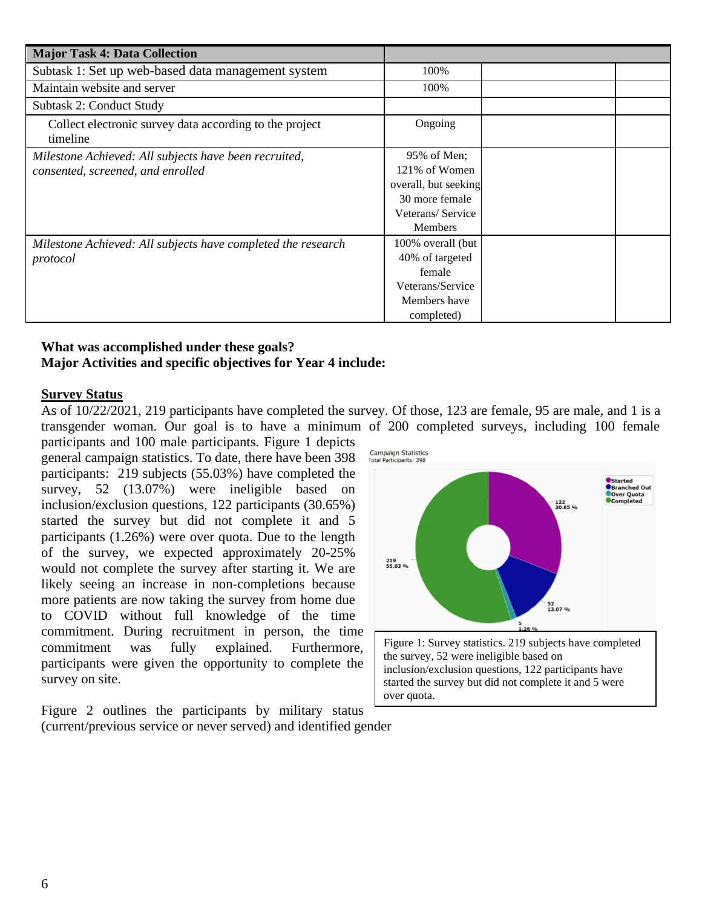| <b>Major Task 4: Data Collection</b>                                |                      |  |
|---------------------------------------------------------------------|----------------------|--|
| Subtask 1: Set up web-based data management system                  | 100%                 |  |
| Maintain website and server                                         | 100%                 |  |
| Subtask 2: Conduct Study                                            |                      |  |
| Collect electronic survey data according to the project<br>timeline | Ongoing              |  |
| Milestone Achieved: All subjects have been recruited,               | 95% of Men;          |  |
| consented, screened, and enrolled                                   | 121% of Women        |  |
|                                                                     | overall, but seeking |  |
|                                                                     | 30 more female       |  |
|                                                                     | Veterans/Service     |  |
|                                                                     | Members              |  |
| Milestone Achieved: All subjects have completed the research        | 100% overall (but    |  |
| protocol                                                            | 40% of targeted      |  |
|                                                                     | female               |  |
|                                                                     | Veterans/Service     |  |
|                                                                     | Members have         |  |
|                                                                     | completed)           |  |

### **What was accomplished under these goals? Major Activities and specific objectives for Year 4 include:**

#### **Survey Status**

As of 10/22/2021, 219 participants have completed the survey. Of those, 123 are female, 95 are male, and 1 is a transgender woman. Our goal is to have a minimum of 200 completed surveys, including 100 female

over quota.

participants and 100 male participants. Figure 1 depicts general campaign statistics. To date, there have been 398 participants: 219 subjects (55.03%) have completed the survey, 52 (13.07%) were ineligible based on inclusion/exclusion questions, 122 participants (30.65%) started the survey but did not complete it and 5 participants (1.26%) were over quota. Due to the length of the survey, we expected approximately 20-25% would not complete the survey after starting it. We are likely seeing an increase in non-completions because more patients are now taking the survey from home due to COVID without full knowledge of the time commitment. During recruitment in person, the time commitment was fully explained. Furthermore, participants were given the opportunity to complete the survey on site.

Figure 2 outlines the participants by military status (current/previous service or never served) and identified gender

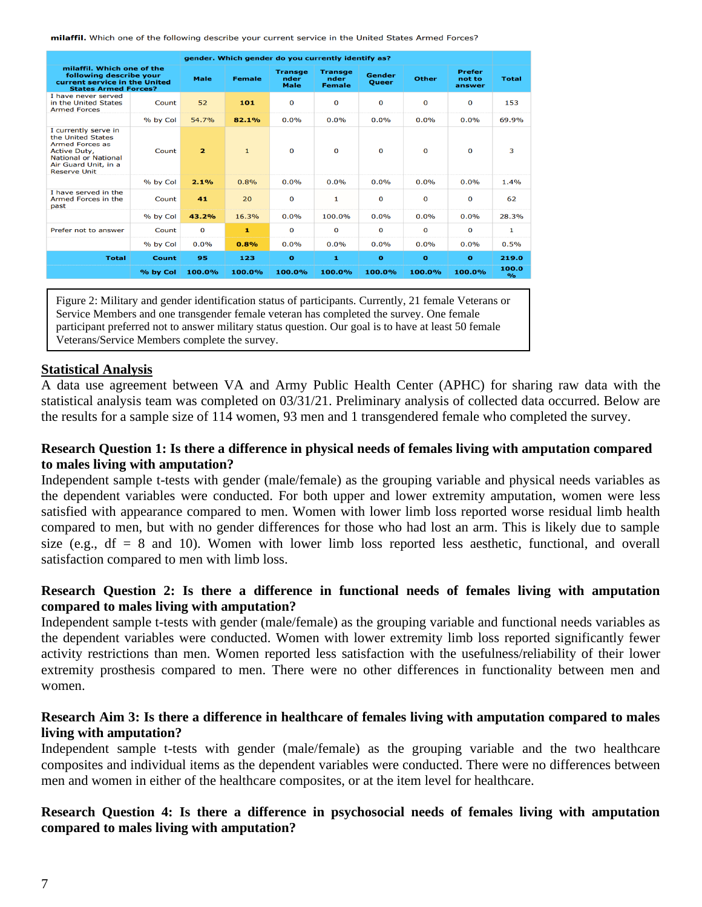milaffil. Which one of the following describe your current service in the United States Armed Forces?

| gender. Which gender do you currently identify as?                                                                                                         |          |                |               |                                       |                                         |                        |              |                                   |                        |
|------------------------------------------------------------------------------------------------------------------------------------------------------------|----------|----------------|---------------|---------------------------------------|-----------------------------------------|------------------------|--------------|-----------------------------------|------------------------|
| milaffil. Which one of the<br>following describe your<br>current service in the United<br><b>States Armed Forces?</b>                                      |          | <b>Male</b>    | <b>Female</b> | <b>Transge</b><br>nder<br><b>Male</b> | <b>Transge</b><br>nder<br><b>Female</b> | Gender<br><b>Oueer</b> | <b>Other</b> | <b>Prefer</b><br>not to<br>answer | <b>Total</b>           |
| I have never served<br>in the United States<br><b>Armed Forces</b>                                                                                         | Count    | 52             | 101           | O                                     | $\mathbf{o}$                            | 0                      | O            | O                                 | 153                    |
|                                                                                                                                                            | % by Col | 54.7%          | 82.1%         | 0.0%                                  | 0.0%                                    | 0.0%                   | 0.0%         | 0.0%                              | 69.9%                  |
| I currently serve in<br>the United States<br>Armed Forces as<br>Active Duty,<br><b>National or National</b><br>Air Guard Unit, in a<br><b>Reserve Unit</b> | Count    | $\overline{2}$ | $\mathbf{1}$  | $\Omega$                              | $\Omega$                                | $\Omega$               | $\Omega$     | $\Omega$                          | 3                      |
|                                                                                                                                                            | % by Col | 2.1%           | 0.8%          | 0.0%                                  | 0.0%                                    | $0.0\%$                | 0.0%         | 0.0%                              | 1.4%                   |
| I have served in the<br>Armed Forces in the<br>past                                                                                                        | Count    | 41             | 20            | $\Omega$                              | 1                                       | $\Omega$               | $\Omega$     | O                                 | 62                     |
|                                                                                                                                                            | % by Col | 43.2%          | 16.3%         | 0.0%                                  | 100.0%                                  | 0.0%                   | 0.0%         | 0.0%                              | 28.3%                  |
| Prefer not to answer                                                                                                                                       | Count    | 0              | 1             | O                                     | $\Omega$                                | $\Omega$               | $\Omega$     | O                                 | 1                      |
|                                                                                                                                                            | % by Col | 0.0%           | 0.8%          | 0.0%                                  | $0.0\%$                                 | 0.0%                   | 0.0%         | 0.0%                              | 0.5%                   |
| <b>Total</b>                                                                                                                                               | Count    | 95             | 123           | $\bullet$                             | 1                                       | $\mathbf{o}$           | $\mathbf o$  | $\Omega$                          | 219.0                  |
|                                                                                                                                                            | % by Col | 100.0%         | 100.0%        | 100.0%                                | 100.0%                                  | 100.0%                 | 100.0%       | 100.0%                            | 100.0<br>$\frac{9}{6}$ |

Figure 2: Military and gender identification status of participants. Currently, 21 female Veterans or Service Members and one transgender female veteran has completed the survey. One female participant preferred not to answer military status question. Our goal is to have at least 50 female Veterans/Service Members complete the survey.

#### **Statistical Analysis**

A data use agreement between VA and Army Public Health Center (APHC) for sharing raw data with the statistical analysis team was completed on 03/31/21. Preliminary analysis of collected data occurred. Below are the results for a sample size of 114 women, 93 men and 1 transgendered female who completed the survey.

### **Research Question 1: Is there a difference in physical needs of females living with amputation compared to males living with amputation?**

Independent sample t-tests with gender (male/female) as the grouping variable and physical needs variables as the dependent variables were conducted. For both upper and lower extremity amputation, women were less satisfied with appearance compared to men. Women with lower limb loss reported worse residual limb health compared to men, but with no gender differences for those who had lost an arm. This is likely due to sample size (e.g.,  $df = 8$  and 10). Women with lower limb loss reported less aesthetic, functional, and overall satisfaction compared to men with limb loss.

### **Research Question 2: Is there a difference in functional needs of females living with amputation compared to males living with amputation?**

Independent sample t-tests with gender (male/female) as the grouping variable and functional needs variables as the dependent variables were conducted. Women with lower extremity limb loss reported significantly fewer activity restrictions than men. Women reported less satisfaction with the usefulness/reliability of their lower extremity prosthesis compared to men. There were no other differences in functionality between men and women.

### **Research Aim 3: Is there a difference in healthcare of females living with amputation compared to males living with amputation?**

Independent sample t-tests with gender (male/female) as the grouping variable and the two healthcare composites and individual items as the dependent variables were conducted. There were no differences between men and women in either of the healthcare composites, or at the item level for healthcare.

### **Research Question 4: Is there a difference in psychosocial needs of females living with amputation compared to males living with amputation?**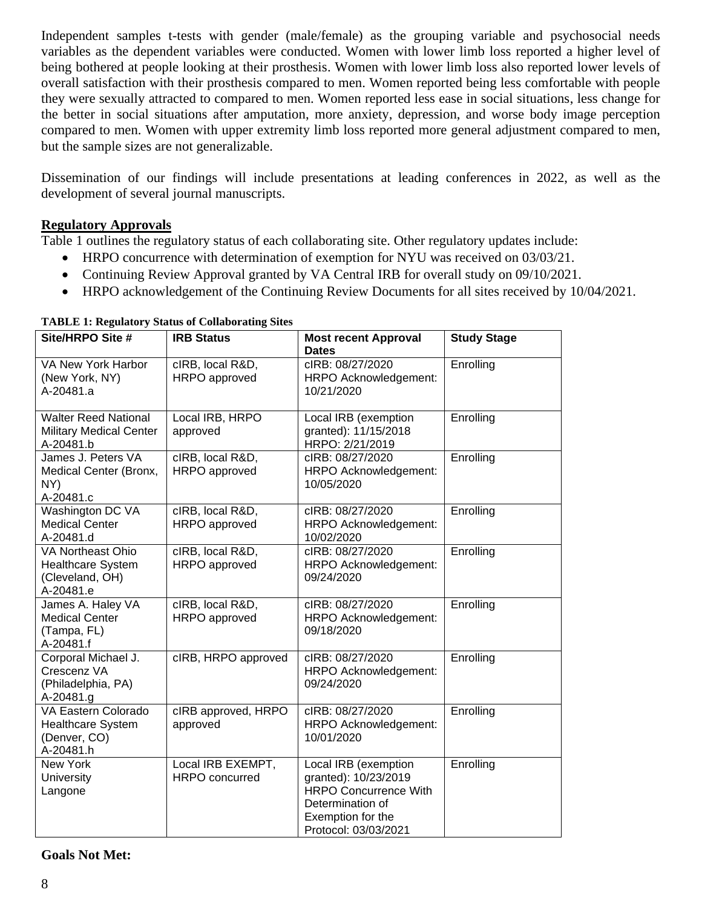Independent samples t-tests with gender (male/female) as the grouping variable and psychosocial needs variables as the dependent variables were conducted. Women with lower limb loss reported a higher level of being bothered at people looking at their prosthesis. Women with lower limb loss also reported lower levels of overall satisfaction with their prosthesis compared to men. Women reported being less comfortable with people they were sexually attracted to compared to men. Women reported less ease in social situations, less change for the better in social situations after amputation, more anxiety, depression, and worse body image perception compared to men. Women with upper extremity limb loss reported more general adjustment compared to men, but the sample sizes are not generalizable.

Dissemination of our findings will include presentations at leading conferences in 2022, as well as the development of several journal manuscripts.

### **Regulatory Approvals**

Table 1 outlines the regulatory status of each collaborating site. Other regulatory updates include:

- HRPO concurrence with determination of exemption for NYU was received on 03/03/21.
- Continuing Review Approval granted by VA Central IRB for overall study on 09/10/2021.
- HRPO acknowledgement of the Continuing Review Documents for all sites received by 10/04/2021.

| Site/HRPO Site #                                                              | <b>IRB Status</b>                          | <b>Most recent Approval</b><br><b>Dates</b>                                                                                                   | <b>Study Stage</b> |
|-------------------------------------------------------------------------------|--------------------------------------------|-----------------------------------------------------------------------------------------------------------------------------------------------|--------------------|
| VA New York Harbor<br>(New York, NY)<br>A-20481.a                             | cIRB, local R&D,<br>HRPO approved          | cIRB: 08/27/2020<br>HRPO Acknowledgement:<br>10/21/2020                                                                                       | Enrolling          |
| <b>Walter Reed National</b><br><b>Military Medical Center</b><br>A-20481.b    | Local IRB, HRPO<br>approved                | Local IRB (exemption<br>granted): 11/15/2018<br>HRPO: 2/21/2019                                                                               | Enrolling          |
| James J. Peters VA<br>Medical Center (Bronx,<br>NY)<br>A-20481.c              | cIRB, local R&D,<br>HRPO approved          | cIRB: 08/27/2020<br>HRPO Acknowledgement:<br>10/05/2020                                                                                       | Enrolling          |
| Washington DC VA<br><b>Medical Center</b><br>A-20481.d                        | cIRB, local R&D,<br>HRPO approved          | cIRB: 08/27/2020<br>HRPO Acknowledgement:<br>10/02/2020                                                                                       | Enrolling          |
| VA Northeast Ohio<br><b>Healthcare System</b><br>(Cleveland, OH)<br>A-20481.e | cIRB, local R&D,<br>HRPO approved          | cIRB: 08/27/2020<br>HRPO Acknowledgement:<br>09/24/2020                                                                                       | Enrolling          |
| James A. Haley VA<br><b>Medical Center</b><br>(Tampa, FL)<br>A-20481.f        | cIRB, local R&D,<br>HRPO approved          | cIRB: 08/27/2020<br>HRPO Acknowledgement:<br>09/18/2020                                                                                       | Enrolling          |
| Corporal Michael J.<br>Crescenz VA<br>(Philadelphia, PA)<br>A-20481.g         | cIRB, HRPO approved                        | cIRB: 08/27/2020<br>HRPO Acknowledgement:<br>09/24/2020                                                                                       | Enrolling          |
| VA Eastern Colorado<br>Healthcare System<br>(Denver, CO)<br>A-20481.h         | cIRB approved, HRPO<br>approved            | cIRB: 08/27/2020<br>HRPO Acknowledgement:<br>10/01/2020                                                                                       | Enrolling          |
| New York<br>University<br>Langone                                             | Local IRB EXEMPT,<br><b>HRPO</b> concurred | Local IRB (exemption<br>granted): 10/23/2019<br><b>HRPO Concurrence With</b><br>Determination of<br>Exemption for the<br>Protocol: 03/03/2021 | Enrolling          |

#### **TABLE 1: Regulatory Status of Collaborating Sites**

#### **Goals Not Met:**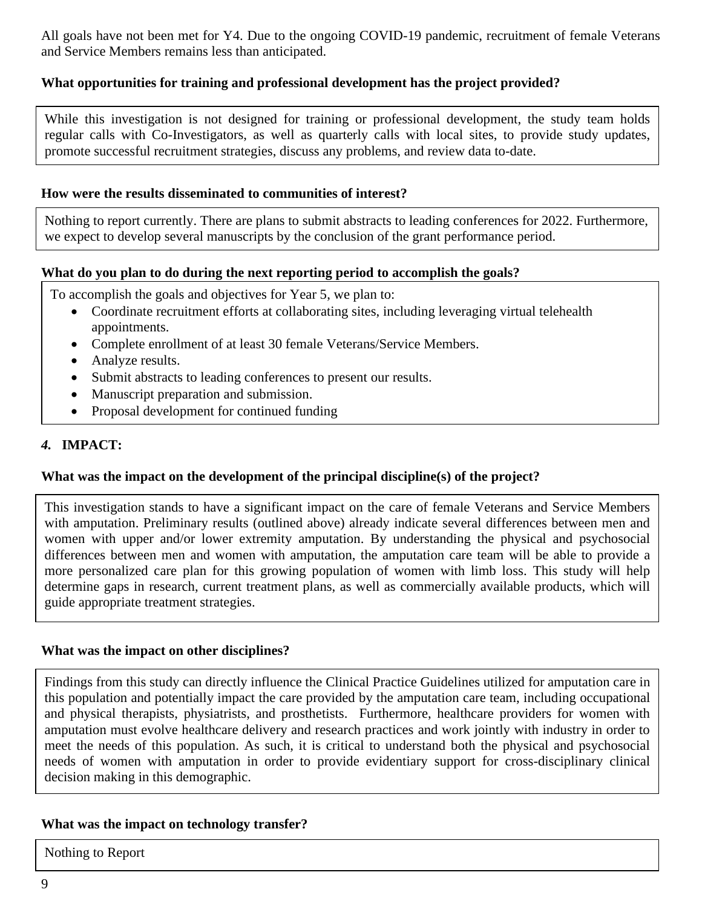All goals have not been met for Y4. Due to the ongoing COVID-19 pandemic, recruitment of female Veterans and Service Members remains less than anticipated.

### **What opportunities for training and professional development has the project provided?**

While this investigation is not designed for training or professional development, the study team holds regular calls with Co-Investigators, as well as quarterly calls with local sites, to provide study updates, promote successful recruitment strategies, discuss any problems, and review data to-date.

#### **How were the results disseminated to communities of interest?**

Nothing to report currently. There are plans to submit abstracts to leading conferences for 2022. Furthermore, we expect to develop several manuscripts by the conclusion of the grant performance period.

#### **What do you plan to do during the next reporting period to accomplish the goals?**

To accomplish the goals and objectives for Year 5, we plan to:

- Coordinate recruitment efforts at collaborating sites, including leveraging virtual telehealth appointments.
- Complete enrollment of at least 30 female Veterans/Service Members.
- Analyze results.
- Submit abstracts to leading conferences to present our results.
- Manuscript preparation and submission.
- Proposal development for continued funding

### *4.* **IMPACT:**

#### **What was the impact on the development of the principal discipline(s) of the project?**

This investigation stands to have a significant impact on the care of female Veterans and Service Members with amputation. Preliminary results (outlined above) already indicate several differences between men and women with upper and/or lower extremity amputation. By understanding the physical and psychosocial differences between men and women with amputation, the amputation care team will be able to provide a more personalized care plan for this growing population of women with limb loss. This study will help determine gaps in research, current treatment plans, as well as commercially available products, which will guide appropriate treatment strategies.

#### **What was the impact on other disciplines?**

Findings from this study can directly influence the Clinical Practice Guidelines utilized for amputation care in this population and potentially impact the care provided by the amputation care team, including occupational and physical therapists, physiatrists, and prosthetists. Furthermore, healthcare providers for women with amputation must evolve healthcare delivery and research practices and work jointly with industry in order to meet the needs of this population. As such, it is critical to understand both the physical and psychosocial needs of women with amputation in order to provide evidentiary support for cross-disciplinary clinical decision making in this demographic.

#### **What was the impact on technology transfer?**

Nothing to Report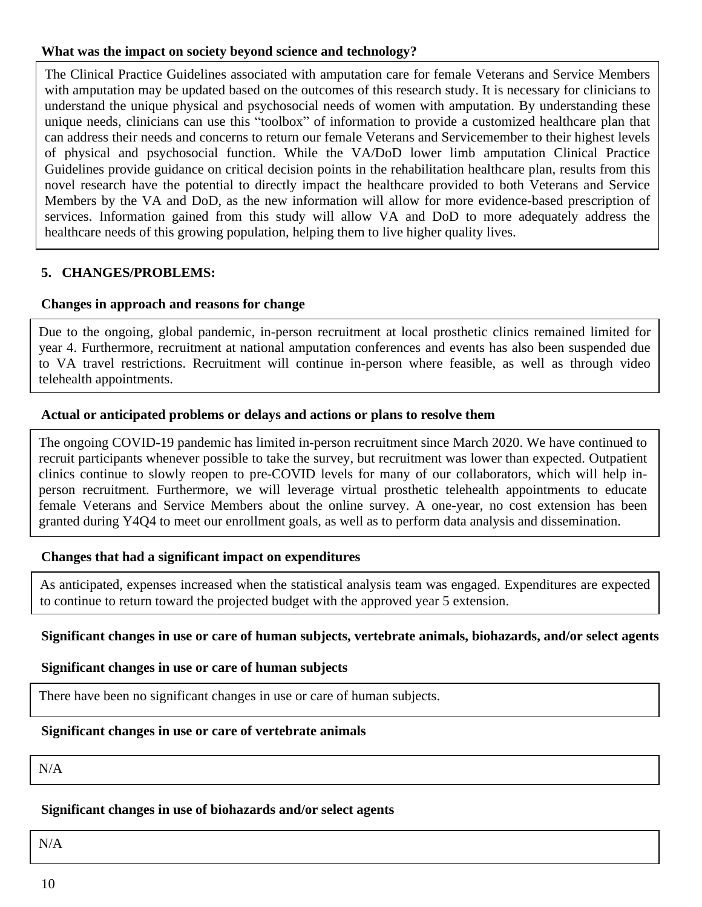### **What was the impact on society beyond science and technology?**

The Clinical Practice Guidelines associated with amputation care for female Veterans and Service Members with amputation may be updated based on the outcomes of this research study. It is necessary for clinicians to understand the unique physical and psychosocial needs of women with amputation. By understanding these unique needs, clinicians can use this "toolbox" of information to provide a customized healthcare plan that can address their needs and concerns to return our female Veterans and Servicemember to their highest levels of physical and psychosocial function. While the VA/DoD lower limb amputation Clinical Practice Guidelines provide guidance on critical decision points in the rehabilitation healthcare plan, results from this novel research have the potential to directly impact the healthcare provided to both Veterans and Service Members by the VA and DoD, as the new information will allow for more evidence-based prescription of services. Information gained from this study will allow VA and DoD to more adequately address the healthcare needs of this growing population, helping them to live higher quality lives.

### **5. CHANGES/PROBLEMS:**

### **Changes in approach and reasons for change**

Due to the ongoing, global pandemic, in-person recruitment at local prosthetic clinics remained limited for year 4. Furthermore, recruitment at national amputation conferences and events has also been suspended due to VA travel restrictions. Recruitment will continue in-person where feasible, as well as through video telehealth appointments.

### **Actual or anticipated problems or delays and actions or plans to resolve them**

The ongoing COVID-19 pandemic has limited in-person recruitment since March 2020. We have continued to recruit participants whenever possible to take the survey, but recruitment was lower than expected. Outpatient clinics continue to slowly reopen to pre-COVID levels for many of our collaborators, which will help inperson recruitment. Furthermore, we will leverage virtual prosthetic telehealth appointments to educate female Veterans and Service Members about the online survey. A one-year, no cost extension has been granted during Y4Q4 to meet our enrollment goals, as well as to perform data analysis and dissemination.

### **Changes that had a significant impact on expenditures**

As anticipated, expenses increased when the statistical analysis team was engaged. Expenditures are expected to continue to return toward the projected budget with the approved year 5 extension.

#### **Significant changes in use or care of human subjects, vertebrate animals, biohazards, and/or select agents**

#### **Significant changes in use or care of human subjects**

There have been no significant changes in use or care of human subjects.

### **Significant changes in use or care of vertebrate animals**

N/A

#### **Significant changes in use of biohazards and/or select agents**

**6. PRODUCTS:** N/A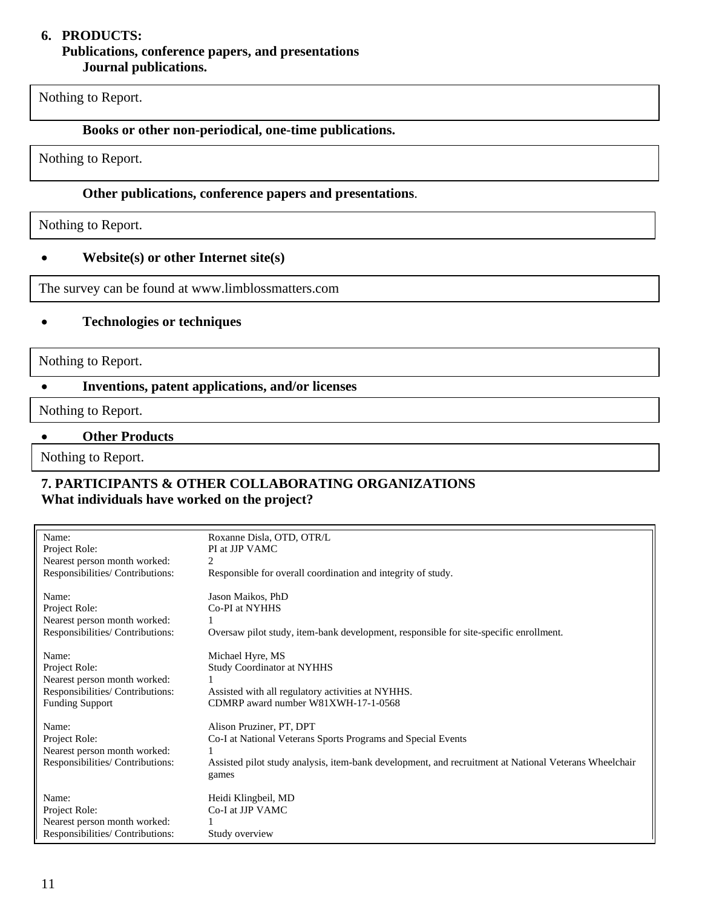#### **6. PRODUCTS: Publications, conference papers, and presentations Journal publications.**

Nothing to Report.

#### **Books or other non-periodical, one-time publications.**

Nothing to Report.

# **Other publications, conference papers and presentations**.

Nothing to Report.

#### • **Website(s) or other Internet site(s)**

The survey can be found at www.limblossmatters.com

### • **Technologies or techniques**

Nothing to Report.

# • **Inventions, patent applications, and/or licenses**

-<br>سا Nothing to Report.

# • **Other Products**

Nothing to Report.

### **7. PARTICIPANTS & OTHER COLLABORATING ORGANIZATIONS What individuals have worked on the project?**

| Name:<br>Project Role:<br>Nearest person month worked:<br>Responsibilities/ Contributions:                           | Roxanne Disla, OTD, OTR/L<br>PI at JJP VAMC<br>2<br>Responsible for overall coordination and integrity of study.                                                                                           |
|----------------------------------------------------------------------------------------------------------------------|------------------------------------------------------------------------------------------------------------------------------------------------------------------------------------------------------------|
| Name:<br>Project Role:<br>Nearest person month worked:<br>Responsibilities/ Contributions:                           | Jason Maikos, PhD<br>Co-PI at NYHHS<br>Oversaw pilot study, item-bank development, responsible for site-specific enrollment.                                                                               |
| Name:<br>Project Role:<br>Nearest person month worked:<br>Responsibilities/ Contributions:<br><b>Funding Support</b> | Michael Hyre, MS<br><b>Study Coordinator at NYHHS</b><br>Assisted with all regulatory activities at NYHHS.<br>CDMRP award number W81XWH-17-1-0568                                                          |
| Name:<br>Project Role:<br>Nearest person month worked:<br>Responsibilities/ Contributions:                           | Alison Pruziner, PT, DPT<br>Co-I at National Veterans Sports Programs and Special Events<br>Assisted pilot study analysis, item-bank development, and recruitment at National Veterans Wheelchair<br>games |
| Name:<br>Project Role:<br>Nearest person month worked:<br>Responsibilities/ Contributions:                           | Heidi Klingbeil, MD<br>Co-I at JJP VAMC<br>Study overview                                                                                                                                                  |